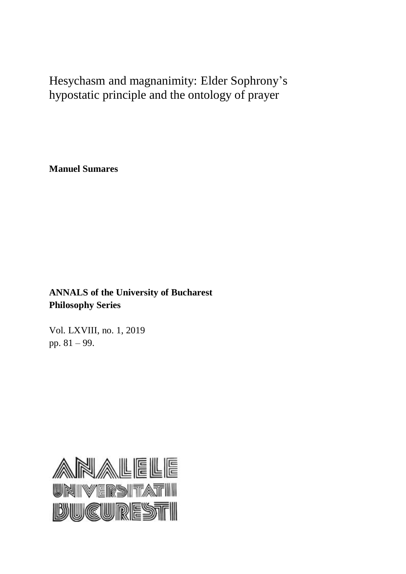Hesychasm and magnanimity: Elder Sophrony's hypostatic principle and the ontology of prayer

**Manuel Sumares**

**ANNALS of the University of Bucharest Philosophy Series**

Vol. LXVIII, no. 1, 2019 pp. 81 – 99.

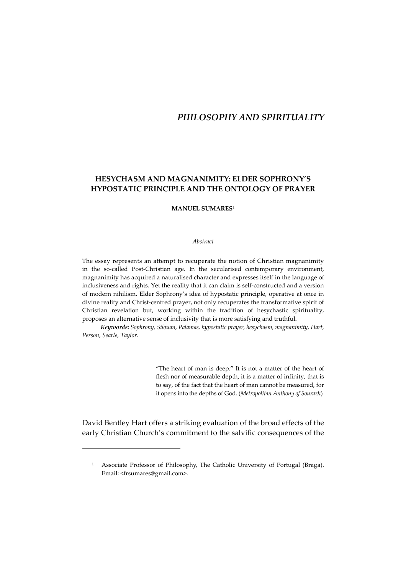# *PHILOSOPHY AND SPIRITUALITY*

# **HESYCHASM AND MAGNANIMITY: ELDER SOPHRONY'S HYPOSTATIC PRINCIPLE AND THE ONTOLOGY OF PRAYER**

#### **MANUEL SUMARES**<sup>1</sup>

#### *Abstract*

The essay represents an attempt to recuperate the notion of Christian magnanimity in the so-called Post-Christian age. In the secularised contemporary environment, magnanimity has acquired a naturalised character and expresses itself in the language of inclusiveness and rights. Yet the reality that it can claim is self-constructed and a version of modern nihilism. Elder Sophrony's idea of hypostatic principle, operative at once in divine reality and Christ-centred prayer, not only recuperates the transformative spirit of Christian revelation but, working within the tradition of hesychastic spirituality, proposes an alternative sense of inclusivity that is more satisfying and truthful*.* 

*Keywords: Sophrony, Silouan, Palamas, hypostatic prayer, hesychasm, magnanimity, Hart, Person, Searle, Taylor.* 

> "The heart of man is deep." It is not a matter of the heart of flesh nor of measurable depth, it is a matter of infinity, that is to say, of the fact that the heart of man cannot be measured, for it opens into the depths of God. (*Metropolitan Anthony of Sourazh*)

David Bentley Hart offers a striking evaluation of the broad effects of the early Christian Church's commitment to the salvific consequences of the

<sup>&</sup>lt;sup>1</sup> Associate Professor of Philosophy, The Catholic University of Portugal (Braga). Email: <frsumares@gmail.com>.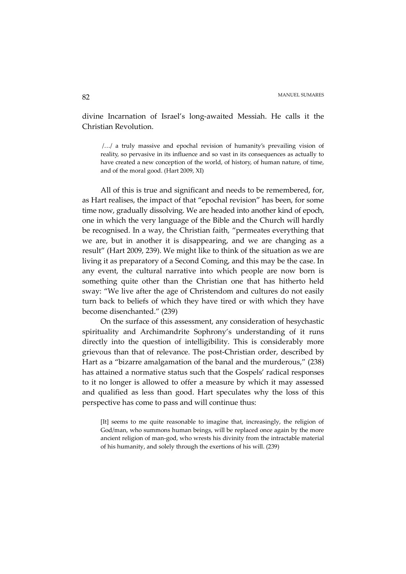divine Incarnation of Israel's long-awaited Messiah. He calls it the Christian Revolution.

 /…/ a truly massive and epochal revision of humanity's prevailing vision of reality, so pervasive in its influence and so vast in its consequences as actually to have created a new conception of the world, of history, of human nature, of time, and of the moral good. (Hart 2009, XI)

All of this is true and significant and needs to be remembered, for, as Hart realises, the impact of that "epochal revision" has been, for some time now, gradually dissolving. We are headed into another kind of epoch, one in which the very language of the Bible and the Church will hardly be recognised. In a way, the Christian faith, "permeates everything that we are, but in another it is disappearing, and we are changing as a result" (Hart 2009, 239). We might like to think of the situation as we are living it as preparatory of a Second Coming, and this may be the case. In any event, the cultural narrative into which people are now born is something quite other than the Christian one that has hitherto held sway: "We live after the age of Christendom and cultures do not easily turn back to beliefs of which they have tired or with which they have become disenchanted." (239)

On the surface of this assessment, any consideration of hesychastic spirituality and Archimandrite Sophrony's understanding of it runs directly into the question of intelligibility. This is considerably more grievous than that of relevance. The post-Christian order, described by Hart as a "bizarre amalgamation of the banal and the murderous," (238) has attained a normative status such that the Gospels' radical responses to it no longer is allowed to offer a measure by which it may assessed and qualified as less than good. Hart speculates why the loss of this perspective has come to pass and will continue thus:

[It] seems to me quite reasonable to imagine that, increasingly, the religion of God/man, who summons human beings, will be replaced once again by the more ancient religion of man-god, who wrests his divinity from the intractable material of his humanity, and solely through the exertions of his will. (239)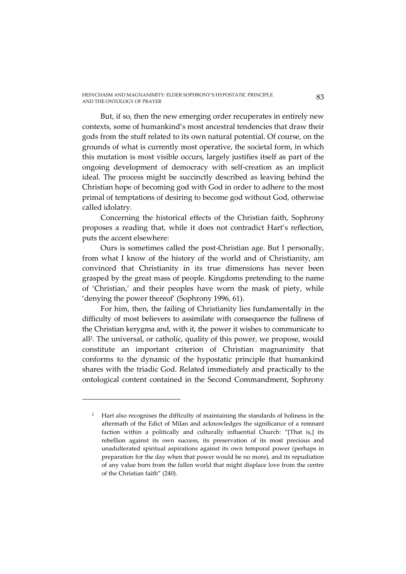But, if so, then the new emerging order recuperates in entirely new contexts, some of humankind's most ancestral tendencies that draw their gods from the stuff related to its own natural potential. Of course, on the grounds of what is currently most operative, the societal form, in which this mutation is most visible occurs, largely justifies itself as part of the ongoing development of democracy with self-creation as an implicit ideal. The process might be succinctly described as leaving behind the Christian hope of becoming god with God in order to adhere to the most primal of temptations of desiring to become god without God, otherwise called idolatry.

Concerning the historical effects of the Christian faith, Sophrony proposes a reading that, while it does not contradict Hart's reflection, puts the accent elsewhere:

Ours is sometimes called the post-Christian age. But I personally, from what I know of the history of the world and of Christianity, am convinced that Christianity in its true dimensions has never been grasped by the great mass of people. Kingdoms pretending to the name of 'Christian,' and their peoples have worn the mask of piety, while 'denying the power thereof' (Sophrony 1996, 61).

For him, then, the failing of Christianity lies fundamentally in the difficulty of most believers to assimilate with consequence the fullness of the Christian kerygma and, with it, the power it wishes to communicate to all<sup>2</sup> . The universal, or catholic, quality of this power, we propose, would constitute an important criterion of Christian magnanimity that conforms to the dynamic of the hypostatic principle that humankind shares with the triadic God. Related immediately and practically to the ontological content contained in the Second Commandment, Sophrony

<sup>&</sup>lt;sup>2</sup> Hart also recognises the difficulty of maintaining the standards of holiness in the aftermath of the Edict of Milan and acknowledges the significance of a remnant faction within a politically and culturally influential Church: "[That is,] its rebellion against its own success, its preservation of its most precious and unadulterated spiritual aspirations against its own temporal power (perhaps in preparation for the day when that power would be no more), and its repudiation of any value born from the fallen world that might displace love from the centre of the Christian faith" (240).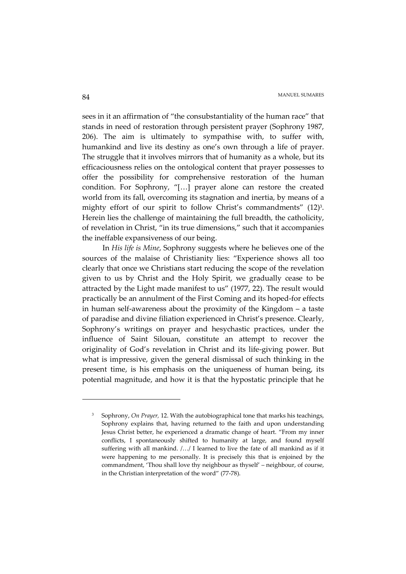sees in it an affirmation of "the consubstantiality of the human race" that stands in need of restoration through persistent prayer (Sophrony 1987, 206). The aim is ultimately to sympathise with, to suffer with, humankind and live its destiny as one's own through a life of prayer. The struggle that it involves mirrors that of humanity as a whole, but its efficaciousness relies on the ontological content that prayer possesses to offer the possibility for comprehensive restoration of the human condition. For Sophrony, "[…] prayer alone can restore the created world from its fall, overcoming its stagnation and inertia, by means of a mighty effort of our spirit to follow Christ's commandments" (12)<sup>3</sup>. Herein lies the challenge of maintaining the full breadth, the catholicity, of revelation in Christ, "in its true dimensions," such that it accompanies the ineffable expansiveness of our being.

 In *His life is Mine*, Sophrony suggests where he believes one of the sources of the malaise of Christianity lies: "Experience shows all too clearly that once we Christians start reducing the scope of the revelation given to us by Christ and the Holy Spirit, we gradually cease to be attracted by the Light made manifest to us" (1977, 22). The result would practically be an annulment of the First Coming and its hoped-for effects in human self-awareness about the proximity of the Kingdom – a taste of paradise and divine filiation experienced in Christ's presence. Clearly, Sophrony's writings on prayer and hesychastic practices, under the influence of Saint Silouan, constitute an attempt to recover the originality of God's revelation in Christ and its life-giving power. But what is impressive, given the general dismissal of such thinking in the present time, is his emphasis on the uniqueness of human being, its potential magnitude, and how it is that the hypostatic principle that he

<sup>3</sup> Sophrony, *On Prayer,* 12. With the autobiographical tone that marks his teachings, Sophrony explains that, having returned to the faith and upon understanding Jesus Christ better, he experienced a dramatic change of heart. "From my inner conflicts, I spontaneously shifted to humanity at large, and found myself suffering with all mankind. /…/ I learned to live the fate of all mankind as if it were happening to me personally. It is precisely this that is enjoined by the commandment, 'Thou shall love thy neighbour as thyself' – neighbour, of course, in the Christian interpretation of the word" (77-78).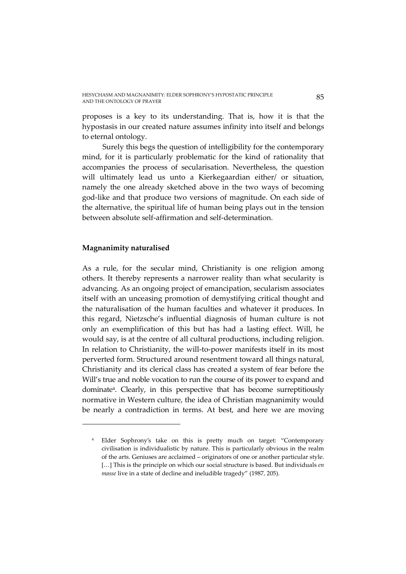proposes is a key to its understanding. That is, how it is that the hypostasis in our created nature assumes infinity into itself and belongs to eternal ontology.

 Surely this begs the question of intelligibility for the contemporary mind, for it is particularly problematic for the kind of rationality that accompanies the process of secularisation. Nevertheless, the question will ultimately lead us unto a Kierkegaardian either/ or situation, namely the one already sketched above in the two ways of becoming god-like and that produce two versions of magnitude. On each side of the alternative, the spiritual life of human being plays out in the tension between absolute self-affirmation and self-determination.

### **Magnanimity naturalised**

 $\overline{a}$ 

As a rule, for the secular mind, Christianity is one religion among others. It thereby represents a narrower reality than what secularity is advancing. As an ongoing project of emancipation, secularism associates itself with an unceasing promotion of demystifying critical thought and the naturalisation of the human faculties and whatever it produces. In this regard, Nietzsche's influential diagnosis of human culture is not only an exemplification of this but has had a lasting effect. Will, he would say, is at the centre of all cultural productions, including religion. In relation to Christianity, the will-to-power manifests itself in its most perverted form. Structured around resentment toward all things natural, Christianity and its clerical class has created a system of fear before the Will's true and noble vocation to run the course of its power to expand and dominate<sup>4</sup> . Clearly, in this perspective that has become surreptitiously normative in Western culture, the idea of Christian magnanimity would be nearly a contradiction in terms. At best, and here we are moving

<sup>4</sup> Elder Sophrony's take on this is pretty much on target: "Contemporary civilisation is individualistic by nature. This is particularly obvious in the realm of the arts. Geniuses are acclaimed – originators of one or another particular style. [...] This is the principle on which our social structure is based. But individuals *en masse* live in a state of decline and ineludible tragedy" (1987*,* 205).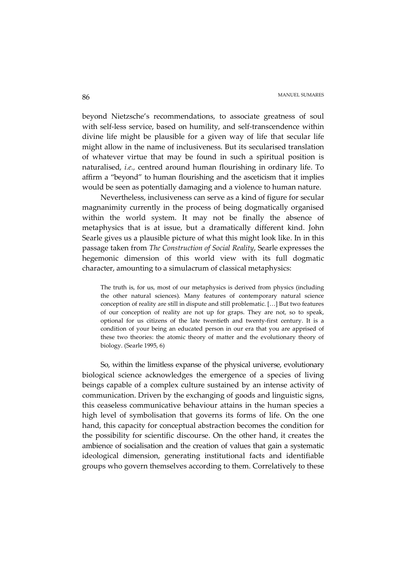beyond Nietzsche's recommendations, to associate greatness of soul with self-less service, based on humility, and self-transcendence within divine life might be plausible for a given way of life that secular life might allow in the name of inclusiveness. But its secularised translation of whatever virtue that may be found in such a spiritual position is naturalised, *i.e.,* centred around human flourishing in ordinary life. To affirm a "beyond" to human flourishing and the asceticism that it implies would be seen as potentially damaging and a violence to human nature.

Nevertheless, inclusiveness can serve as a kind of figure for secular magnanimity currently in the process of being dogmatically organised within the world system. It may not be finally the absence of metaphysics that is at issue, but a dramatically different kind. John Searle gives us a plausible picture of what this might look like. In in this passage taken from *The Construction of Social Reality*, Searle expresses the hegemonic dimension of this world view with its full dogmatic character, amounting to a simulacrum of classical metaphysics:

The truth is, for us, most of our metaphysics is derived from physics (including the other natural sciences). Many features of contemporary natural science conception of reality are still in dispute and still problematic. […] But two features of our conception of reality are not up for graps. They are not, so to speak, optional for us citizens of the late twentieth and twenty-first century. It is a condition of your being an educated person in our era that you are apprised of these two theories: the atomic theory of matter and the evolutionary theory of biology. (Searle 1995, 6)

So, within the limitless expanse of the physical universe, evolutionary biological science acknowledges the emergence of a species of living beings capable of a complex culture sustained by an intense activity of communication. Driven by the exchanging of goods and linguistic signs, this ceaseless communicative behaviour attains in the human species a high level of symbolisation that governs its forms of life. On the one hand, this capacity for conceptual abstraction becomes the condition for the possibility for scientific discourse. On the other hand, it creates the ambience of socialisation and the creation of values that gain a systematic ideological dimension, generating institutional facts and identifiable groups who govern themselves according to them. Correlatively to these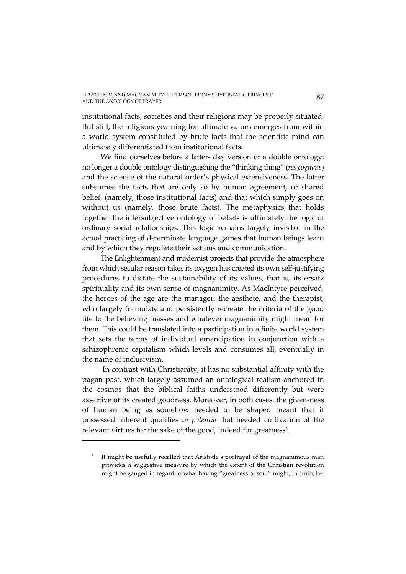institutional facts, societies and their religions may be properly situated. But still, the religious yearning for ultimate values emerges from within a world system constituted by brute facts that the scientific mind can ultimately differentiated from institutional facts.

We find ourselves before a latter- day version of a double ontology: no longer a double ontology distinguishing the "thinking thing" (*res cogitans*) and the science of the natural order's physical extensiveness. The latter subsumes the facts that are only so by human agreement, or shared belief, (namely, those institutional facts) and that which simply goes on without us (namely, those brute facts). The metaphysics that holds together the intersubjective ontology of beliefs is ultimately the logic of ordinary social relationships. This logic remains largely invisible in the actual practicing of determinate language games that human beings learn and by which they regulate their actions and communication.

The Enlightenment and modernist projects that provide the atmosphere from which secular reason takes its oxygen has created its own self-justifying procedures to dictate the sustainability of its values, that is, its ersatz spirituality and its own sense of magnanimity. As MacIntyre perceived, the heroes of the age are the manager, the aesthete, and the therapist, who largely formulate and persistently recreate the criteria of the good life to the believing masses and whatever magnanimity might mean for them. This could be translated into a participation in a finite world system that sets the terms of individual emancipation in conjunction with a schizophrenic capitalism which levels and consumes all, eventually in the name of inclusivism.

 In contrast with Christianity, it has no substantial affinity with the pagan past, which largely assumed an ontological realism anchored in the cosmos that the biblical faiths understood differently but were assertive of its created goodness. Moreover, in both cases, the given-ness of human being as somehow needed to be shaped meant that it possessed inherent qualities *in potentia* that needed cultivation of the relevant virtues for the sake of the good, indeed for greatness<sup>5</sup>.

<sup>5</sup> It might be usefully recalled that Aristotle's portrayal of the magnanimous man provides a suggestive measure by which the extent of the Christian revolution might be gauged in regard to what having "greatness of soul" might, in truth, be.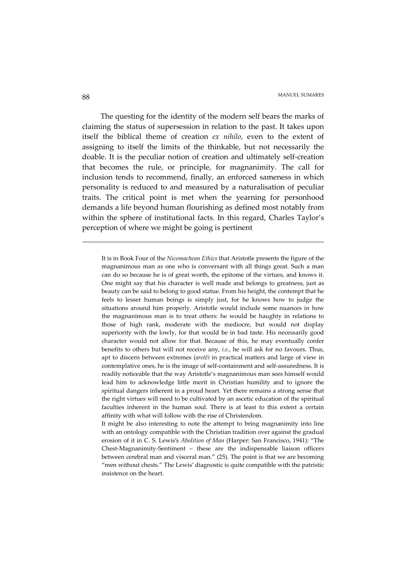The questing for the identity of the modern self bears the marks of claiming the status of supersession in relation to the past. It takes upon itself the biblical theme of creation *ex nihilo*, even to the extent of assigning to itself the limits of the thinkable, but not necessarily the doable. It is the peculiar notion of creation and ultimately self-creation that becomes the rule, or principle, for magnanimity. The call for inclusion tends to recommend, finally, an enforced sameness in which personality is reduced to and measured by a naturalisation of peculiar traits. The critical point is met when the yearning for personhood demands a life beyond human flourishing as defined most notably from within the sphere of institutional facts. In this regard, Charles Taylor's perception of where we might be going is pertinent

It is in Book Four of the *Nicomachean Ethics* that Aristotle presents the figure of the magnanimous man as one who is conversant with all things great. Such a man can do so because he is of great worth, the epitome of the virtues, and knows it. One might say that his character is well made and belongs to greatness, just as beauty can be said to belong to good statue. From his height, the contempt that he feels to lesser human beings is simply just, for he knows how to judge the situations around him properly. Aristotle would include some nuances in how the magnanimous man is to treat others: he would be haughty in relations to those of high rank, moderate with the mediocre, but would not display superiority with the lowly, for that would be in bad taste. His necessarily good character would not allow for that. Because of this, he may eventually confer benefits to others but will not receive any, *i.e.*, he will ask for no favours. Thus, apt to discern between extremes (*aretê)* in practical matters and large of view in contemplative ones, he is the image of self-containment and self-assuredness. It is readily noticeable that the way Aristotle's magnanimous man sees himself would lead him to acknowledge little merit in Christian humility and to ignore the spiritual dangers inherent in a proud heart. Yet there remains a strong sense that the right virtues will need to be cultivated by an ascetic education of the spiritual faculties inherent in the human soul. There is at least to this extent a certain affinity with what will follow with the rise of Christendom.

 It might be also interesting to note the attempt to bring magnanimity into line with an ontology compatible with the Christian tradition over against the gradual erosion of it in C. S. Lewis's *Abolition of Man* (Harper: San Francisco, 1941): "The Chest-Magnanimity-Sentiment – these are the indispensable liaison officers between cerebral man and visceral man." (25). The point is that we are becoming "men without chests." The Lewis' diagnostic is quite compatible with the patristic insistence on the heart.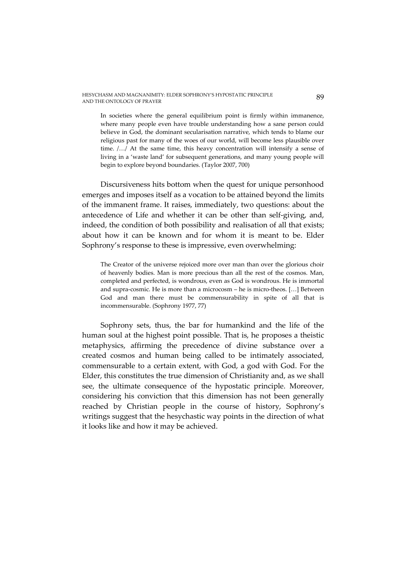In societies where the general equilibrium point is firmly within immanence, where many people even have trouble understanding how a sane person could believe in God, the dominant secularisation narrative, which tends to blame our religious past for many of the woes of our world, will become less plausible over time. /…/ At the same time, this heavy concentration will intensify a sense of living in a 'waste land' for subsequent generations, and many young people will begin to explore beyond boundaries. (Taylor 2007, 700)

Discursiveness hits bottom when the quest for unique personhood emerges and imposes itself as a vocation to be attained beyond the limits of the immanent frame. It raises, immediately, two questions: about the antecedence of Life and whether it can be other than self-giving, and, indeed, the condition of both possibility and realisation of all that exists; about how it can be known and for whom it is meant to be. Elder Sophrony's response to these is impressive, even overwhelming:

The Creator of the universe rejoiced more over man than over the glorious choir of heavenly bodies. Man is more precious than all the rest of the cosmos. Man, completed and perfected, is wondrous, even as God is wondrous. He is immortal and supra-cosmic. He is more than a microcosm – he is micro-theos. […] Between God and man there must be commensurability in spite of all that is incommensurable. (Sophrony 1977, 77)

Sophrony sets, thus, the bar for humankind and the life of the human soul at the highest point possible. That is, he proposes a theistic metaphysics, affirming the precedence of divine substance over a created cosmos and human being called to be intimately associated, commensurable to a certain extent, with God, a god with God. For the Elder, this constitutes the true dimension of Christianity and, as we shall see, the ultimate consequence of the hypostatic principle. Moreover, considering his conviction that this dimension has not been generally reached by Christian people in the course of history, Sophrony's writings suggest that the hesychastic way points in the direction of what it looks like and how it may be achieved.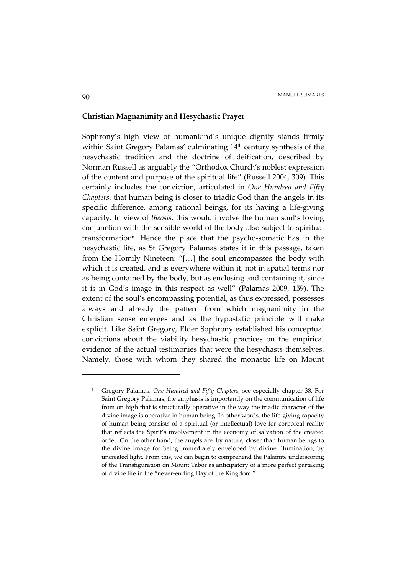### **Christian Magnanimity and Hesychastic Prayer**

Sophrony's high view of humankind's unique dignity stands firmly within Saint Gregory Palamas' culminating 14<sup>th</sup> century synthesis of the hesychastic tradition and the doctrine of deification, described by Norman Russell as arguably the "Orthodox Church's noblest expression of the content and purpose of the spiritual life" (Russell 2004, 309). This certainly includes the conviction, articulated in *One Hundred and Fifty Chapters*, that human being is closer to triadic God than the angels in its specific difference, among rational beings, for its having a life-giving capacity. In view of *theosis*, this would involve the human soul's loving conjunction with the sensible world of the body also subject to spiritual transformation<sup>6</sup>. Hence the place that the psycho-somatic has in the hesychastic life, as St Gregory Palamas states it in this passage, taken from the Homily Nineteen: "[…] the soul encompasses the body with which it is created, and is everywhere within it, not in spatial terms nor as being contained by the body, but as enclosing and containing it, since it is in God's image in this respect as well" (Palamas 2009, 159). The extent of the soul's encompassing potential, as thus expressed, possesses always and already the pattern from which magnanimity in the Christian sense emerges and as the hypostatic principle will make explicit. Like Saint Gregory, Elder Sophrony established his conceptual convictions about the viability hesychastic practices on the empirical evidence of the actual testimonies that were the hesychasts themselves. Namely, those with whom they shared the monastic life on Mount

<sup>6</sup> Gregory Palamas, *One Hundred and Fifty Chapters,* see especially chapter 38. For Saint Gregory Palamas, the emphasis is importantly on the communication of life from on high that is structurally operative in the way the triadic character of the divine image is operative in human being. In other words, the life-giving capacity of human being consists of a spiritual (or intellectual) love for corporeal reality that reflects the Spirit's involvement in the economy of salvation of the created order. On the other hand, the angels are, by nature, closer than human beings to the divine image for being immediately enveloped by divine illumination, by uncreated light. From this, we can begin to comprehend the Palamite underscoring of the Transfiguration on Mount Tabor as anticipatory of a more perfect partaking of divine life in the "never-ending Day of the Kingdom."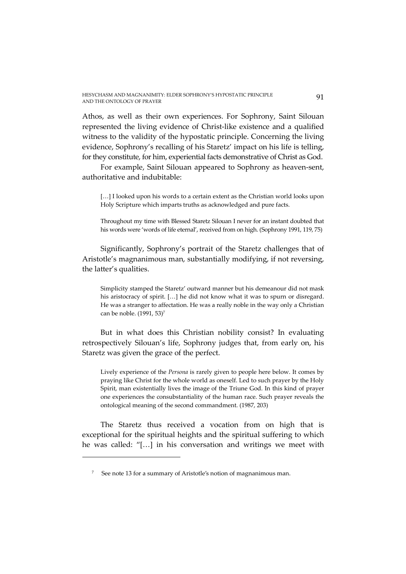Athos, as well as their own experiences. For Sophrony, Saint Silouan represented the living evidence of Christ-like existence and a qualified witness to the validity of the hypostatic principle. Concerning the living evidence, Sophrony's recalling of his Staretz' impact on his life is telling, for they constitute, for him, experiential facts demonstrative of Christ as God.

For example, Saint Silouan appeared to Sophrony as heaven-sent, authoritative and indubitable:

[...] I looked upon his words to a certain extent as the Christian world looks upon Holy Scripture which imparts truths as acknowledged and pure facts.

Throughout my time with Blessed Staretz Silouan I never for an instant doubted that his words were 'words of life eternal', received from on high. (Sophrony 1991, 119, 75)

Significantly, Sophrony's portrait of the Staretz challenges that of Aristotle's magnanimous man, substantially modifying, if not reversing, the latter's qualities.

Simplicity stamped the Staretz' outward manner but his demeanour did not mask his aristocracy of spirit. [...] he did not know what it was to spurn or disregard. He was a stranger to affectation. He was a really noble in the way only a Christian can be noble. (1991, 53)<sup>7</sup>

But in what does this Christian nobility consist? In evaluating retrospectively Silouan's life, Sophrony judges that, from early on, his Staretz was given the grace of the perfect.

Lively experience of the *Persona* is rarely given to people here below. It comes by praying like Christ for the whole world as oneself. Led to such prayer by the Holy Spirit, man existentially lives the image of the Triune God. In this kind of prayer one experiences the consubstantiality of the human race. Such prayer reveals the ontological meaning of the second commandment. (1987, 203)

The Staretz thus received a vocation from on high that is exceptional for the spiritual heights and the spiritual suffering to which he was called: "[…] in his conversation and writings we meet with

l

<sup>7</sup> See note 13 for a summary of Aristotle's notion of magnanimous man.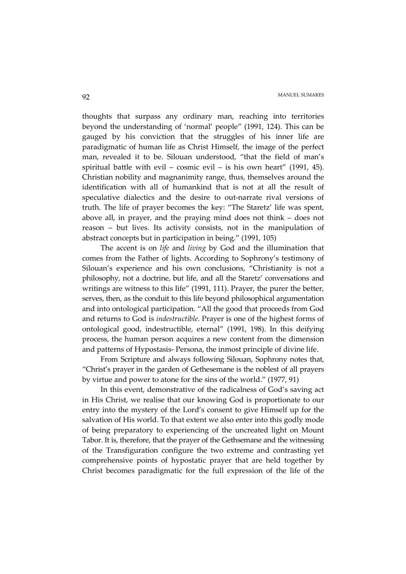thoughts that surpass any ordinary man, reaching into territories beyond the understanding of 'normal' people" (1991, 124). This can be gauged by his conviction that the struggles of his inner life are paradigmatic of human life as Christ Himself, the image of the perfect man, revealed it to be. Silouan understood, "that the field of man's spiritual battle with evil – cosmic evil – is his own heart" (1991, 45). Christian nobility and magnanimity range, thus, themselves around the identification with all of humankind that is not at all the result of speculative dialectics and the desire to out-narrate rival versions of truth. The life of prayer becomes the key: "The Staretz' life was spent, above all, in prayer, and the praying mind does not think – does not reason – but lives. Its activity consists, not in the manipulation of abstract concepts but in participation in being." (1991, 105)

The accent is on *life* and *living* by God and the illumination that comes from the Father of lights. According to Sophrony's testimony of Silouan's experience and his own conclusions, "Christianity is not a philosophy, not a doctrine, but life, and all the Staretz' conversations and writings are witness to this life" (1991, 111). Prayer, the purer the better, serves, then, as the conduit to this life beyond philosophical argumentation and into ontological participation. "All the good that proceeds from God and returns to God is *indestructible*. Prayer is one of the highest forms of ontological good, indestructible, eternal" (1991, 198). In this deifying process, the human person acquires a new content from the dimension and patterns of Hypostasis- Persona, the inmost principle of divine life.

From Scripture and always following Silouan, Sophrony notes that, "Christ's prayer in the garden of Gethesemane is the noblest of all prayers by virtue and power to atone for the sins of the world." (1977, 91)

In this event, demonstrative of the radicalness of God's saving act in His Christ, we realise that our knowing God is proportionate to our entry into the mystery of the Lord's consent to give Himself up for the salvation of His world. To that extent we also enter into this godly mode of being preparatory to experiencing of the uncreated light on Mount Tabor. It is, therefore, that the prayer of the Gethsemane and the witnessing of the Transfiguration configure the two extreme and contrasting yet comprehensive points of hypostatic prayer that are held together by Christ becomes paradigmatic for the full expression of the life of the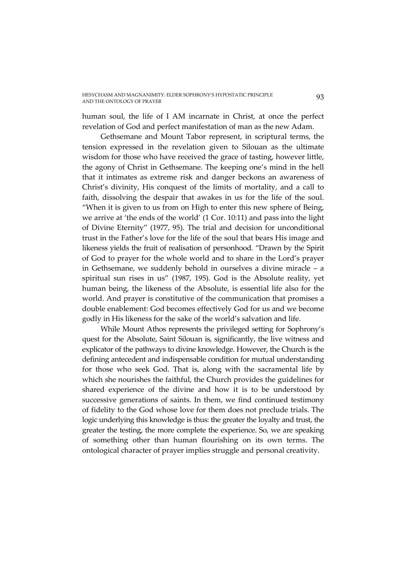human soul, the life of I AM incarnate in Christ, at once the perfect revelation of God and perfect manifestation of man as the new Adam.

Gethsemane and Mount Tabor represent, in scriptural terms, the tension expressed in the revelation given to Silouan as the ultimate wisdom for those who have received the grace of tasting, however little, the agony of Christ in Gethsemane. The keeping one's mind in the hell that it intimates as extreme risk and danger beckons an awareness of Christ's divinity, His conquest of the limits of mortality, and a call to faith, dissolving the despair that awakes in us for the life of the soul. "When it is given to us from on High to enter this new sphere of Being, we arrive at 'the ends of the world' (1 Cor. 10:11) and pass into the light of Divine Eternity" (1977, 95). The trial and decision for unconditional trust in the Father's love for the life of the soul that bears His image and likeness yields the fruit of realisation of personhood. "Drawn by the Spirit of God to prayer for the whole world and to share in the Lord's prayer in Gethsemane, we suddenly behold in ourselves a divine miracle – a spiritual sun rises in us" (1987, 195). God is the Absolute reality, yet human being, the likeness of the Absolute, is essential life also for the world. And prayer is constitutive of the communication that promises a double enablement: God becomes effectively God for us and we become godly in His likeness for the sake of the world's salvation and life.

While Mount Athos represents the privileged setting for Sophrony's quest for the Absolute, Saint Silouan is, significantly, the live witness and explicator of the pathways to divine knowledge. However, the Church is the defining antecedent and indispensable condition for mutual understanding for those who seek God. That is, along with the sacramental life by which she nourishes the faithful, the Church provides the guidelines for shared experience of the divine and how it is to be understood by successive generations of saints. In them, we find continued testimony of fidelity to the God whose love for them does not preclude trials. The logic underlying this knowledge is thus: the greater the loyalty and trust, the greater the testing, the more complete the experience. So, we are speaking of something other than human flourishing on its own terms. The ontological character of prayer implies struggle and personal creativity.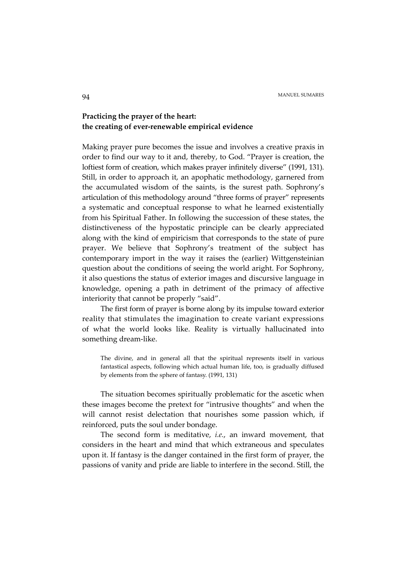# **Practicing the prayer of the heart: the creating of ever-renewable empirical evidence**

Making prayer pure becomes the issue and involves a creative praxis in order to find our way to it and, thereby, to God. "Prayer is creation, the loftiest form of creation, which makes prayer infinitely diverse" (1991, 131). Still, in order to approach it, an apophatic methodology, garnered from the accumulated wisdom of the saints, is the surest path. Sophrony's articulation of this methodology around "three forms of prayer" represents a systematic and conceptual response to what he learned existentially from his Spiritual Father. In following the succession of these states, the distinctiveness of the hypostatic principle can be clearly appreciated along with the kind of empiricism that corresponds to the state of pure prayer. We believe that Sophrony's treatment of the subject has contemporary import in the way it raises the (earlier) Wittgensteinian question about the conditions of seeing the world aright. For Sophrony, it also questions the status of exterior images and discursive language in knowledge, opening a path in detriment of the primacy of affective interiority that cannot be properly "said".

The first form of prayer is borne along by its impulse toward exterior reality that stimulates the imagination to create variant expressions of what the world looks like. Reality is virtually hallucinated into something dream-like.

The divine, and in general all that the spiritual represents itself in various fantastical aspects, following which actual human life, too, is gradually diffused by elements from the sphere of fantasy. (1991, 131)

The situation becomes spiritually problematic for the ascetic when these images become the pretext for "intrusive thoughts" and when the will cannot resist delectation that nourishes some passion which, if reinforced, puts the soul under bondage.

The second form is meditative, *i.e.*, an inward movement, that considers in the heart and mind that which extraneous and speculates upon it. If fantasy is the danger contained in the first form of prayer, the passions of vanity and pride are liable to interfere in the second. Still, the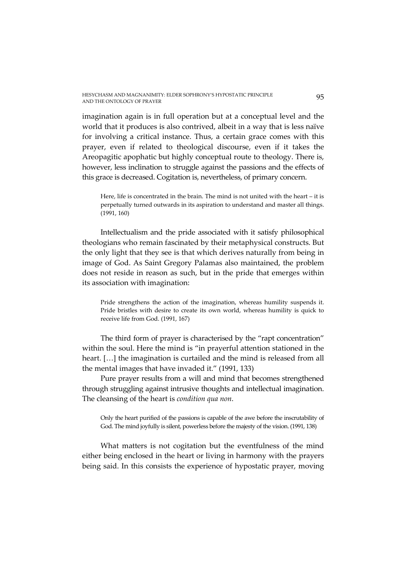imagination again is in full operation but at a conceptual level and the world that it produces is also contrived, albeit in a way that is less naïve for involving a critical instance. Thus, a certain grace comes with this prayer, even if related to theological discourse, even if it takes the Areopagitic apophatic but highly conceptual route to theology. There is, however, less inclination to struggle against the passions and the effects of this grace is decreased. Cogitation is, nevertheless, of primary concern.

Here, life is concentrated in the brain. The mind is not united with the heart – it is perpetually turned outwards in its aspiration to understand and master all things. (1991, 160)

Intellectualism and the pride associated with it satisfy philosophical theologians who remain fascinated by their metaphysical constructs. But the only light that they see is that which derives naturally from being in image of God. As Saint Gregory Palamas also maintained, the problem does not reside in reason as such, but in the pride that emerges within its association with imagination:

Pride strengthens the action of the imagination, whereas humility suspends it. Pride bristles with desire to create its own world, whereas humility is quick to receive life from God. (1991, 167)

The third form of prayer is characterised by the "rapt concentration" within the soul. Here the mind is "in prayerful attention stationed in the heart. […] the imagination is curtailed and the mind is released from all the mental images that have invaded it." (1991, 133)

Pure prayer results from a will and mind that becomes strengthened through struggling against intrusive thoughts and intellectual imagination. The cleansing of the heart is *condition qua non*.

Only the heart purified of the passions is capable of the awe before the inscrutability of God. The mind joyfully is silent, powerless before the majesty of the vision. (1991, 138)

What matters is not cogitation but the eventfulness of the mind either being enclosed in the heart or living in harmony with the prayers being said. In this consists the experience of hypostatic prayer, moving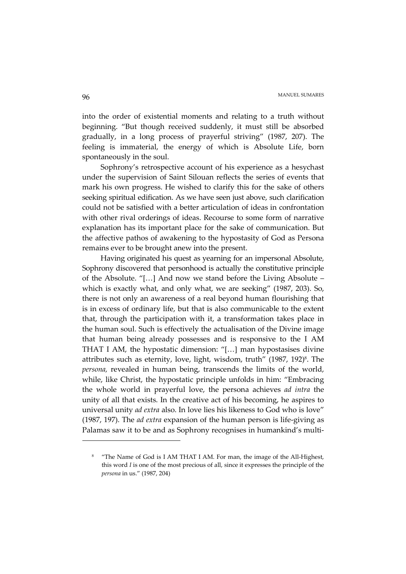into the order of existential moments and relating to a truth without beginning. "But though received suddenly, it must still be absorbed gradually, in a long process of prayerful striving" (1987, 207). The feeling is immaterial, the energy of which is Absolute Life, born spontaneously in the soul.

Sophrony's retrospective account of his experience as a hesychast under the supervision of Saint Silouan reflects the series of events that mark his own progress. He wished to clarify this for the sake of others seeking spiritual edification. As we have seen just above, such clarification could not be satisfied with a better articulation of ideas in confrontation with other rival orderings of ideas. Recourse to some form of narrative explanation has its important place for the sake of communication. But the affective pathos of awakening to the hypostasity of God as Persona remains ever to be brought anew into the present.

Having originated his quest as yearning for an impersonal Absolute, Sophrony discovered that personhood is actually the constitutive principle of the Absolute. "[…] And now we stand before the Living Absolute – which is exactly what, and only what, we are seeking" (1987, 203). So, there is not only an awareness of a real beyond human flourishing that is in excess of ordinary life, but that is also communicable to the extent that, through the participation with it, a transformation takes place in the human soul. Such is effectively the actualisation of the Divine image that human being already possesses and is responsive to the I AM THAT I AM, the hypostatic dimension: "[…] man hypostasises divine attributes such as eternity, love, light, wisdom, truth" (1987, 192)<sup>8</sup>. The *persona,* revealed in human being, transcends the limits of the world, while, like Christ, the hypostatic principle unfolds in him: "Embracing the whole world in prayerful love, the persona achieves *ad intra* the unity of all that exists. In the creative act of his becoming, he aspires to universal unity *ad extra* also. In love lies his likeness to God who is love" (1987, 197). The *ad extra* expansion of the human person is life-giving as Palamas saw it to be and as Sophrony recognises in humankind's multi-

l

<sup>&</sup>lt;sup>8</sup> "The Name of God is I AM THAT I AM. For man, the image of the All-Highest, this word *I* is one of the most precious of all, since it expresses the principle of the *persona* in us." (1987, 204)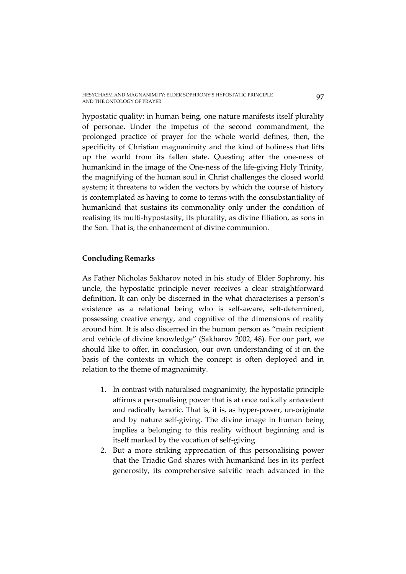hypostatic quality: in human being, one nature manifests itself plurality of personae. Under the impetus of the second commandment, the prolonged practice of prayer for the whole world defines, then, the specificity of Christian magnanimity and the kind of holiness that lifts up the world from its fallen state. Questing after the one-ness of humankind in the image of the One-ness of the life-giving Holy Trinity, the magnifying of the human soul in Christ challenges the closed world system; it threatens to widen the vectors by which the course of history is contemplated as having to come to terms with the consubstantiality of humankind that sustains its commonality only under the condition of realising its multi-hypostasity, its plurality, as divine filiation, as sons in the Son. That is, the enhancement of divine communion.

### **Concluding Remarks**

As Father Nicholas Sakharov noted in his study of Elder Sophrony, his uncle, the hypostatic principle never receives a clear straightforward definition. It can only be discerned in the what characterises a person's existence as a relational being who is self-aware, self-determined, possessing creative energy, and cognitive of the dimensions of reality around him. It is also discerned in the human person as "main recipient and vehicle of divine knowledge" (Sakharov 2002, 48). For our part, we should like to offer, in conclusion, our own understanding of it on the basis of the contexts in which the concept is often deployed and in relation to the theme of magnanimity.

- 1. In contrast with naturalised magnanimity, the hypostatic principle affirms a personalising power that is at once radically antecedent and radically kenotic. That is, it is, as hyper-power, un-originate and by nature self-giving. The divine image in human being implies a belonging to this reality without beginning and is itself marked by the vocation of self-giving.
- 2. But a more striking appreciation of this personalising power that the Triadic God shares with humankind lies in its perfect generosity, its comprehensive salvific reach advanced in the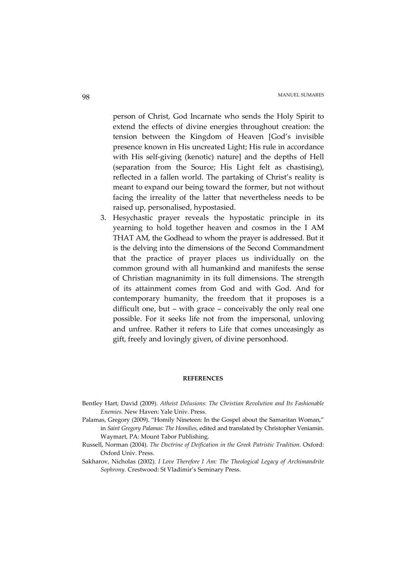person of Christ, God Incarnate who sends the Holy Spirit to extend the effects of divine energies throughout creation: the tension between the Kingdom of Heaven [God's invisible presence known in His uncreated Light; His rule in accordance with His self-giving (kenotic) nature] and the depths of Hell (separation from the Source; His Light felt as chastising), reflected in a fallen world. The partaking of Christ's reality is meant to expand our being toward the former, but not without facing the irreality of the latter that nevertheless needs to be raised up, personalised, hypostasied.

3. Hesychastic prayer reveals the hypostatic principle in its yearning to hold together heaven and cosmos in the I AM THAT AM, the Godhead to whom the prayer is addressed. But it is the delving into the dimensions of the Second Commandment that the practice of prayer places us individually on the common ground with all humankind and manifests the sense of Christian magnanimity in its full dimensions. The strength of its attainment comes from God and with God. And for contemporary humanity, the freedom that it proposes is a difficult one, but – with grace – conceivably the only real one possible. For it seeks life not from the impersonal, unloving and unfree. Rather it refers to Life that comes unceasingly as gift, freely and lovingly given, of divine personhood.

#### **REFERENCES**

- Bentley Hart, David (2009). *Atheist Delusions: The Christian Revolution and Its Fashionable Enemies.* New Haven: Yale Univ. Press.
- Palamas, Gregory (2009). "Homily Nineteen: In the Gospel about the Samaritan Woman," in *Saint Gregory Palamas: The Homilies*, edited and translated by Christopher Veniamin. Waymart, PA: Mount Tabor Publishing.
- Russell, Norman (2004). *The Doctrine of Deification in the Greek Patristic Tradition.* Oxford: Oxford Univ. Press.
- Sakharov, Nicholas (2002). *I Love Therefore I Am: The Theological Legacy of Archimandrite Sophrony.* Crestwood: St Vladimir's Seminary Press.